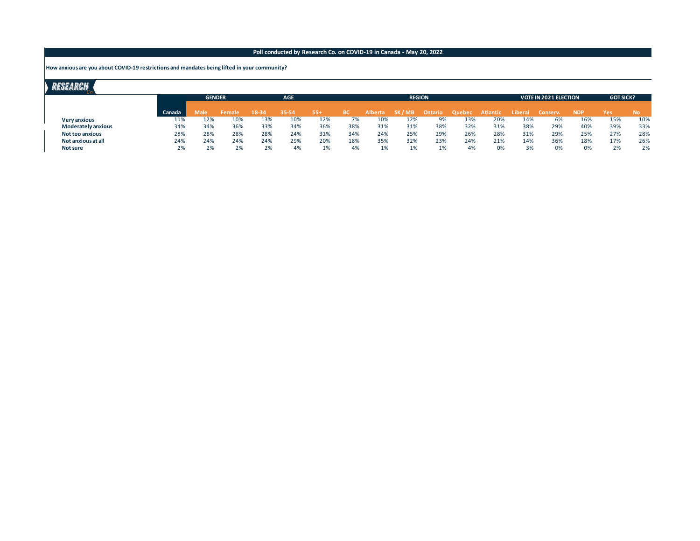**How anxious are you about COVID-19 restrictions and mandates being lifted in your community?**

|                           |        | <b>GENDER</b> |        |       | <b>AGE</b> |       |           |                | <b>REGION</b> |         |        |          |         | <b>VOTE IN 2021 ELECTION</b> | <b>GOT SICK?</b> |     |           |
|---------------------------|--------|---------------|--------|-------|------------|-------|-----------|----------------|---------------|---------|--------|----------|---------|------------------------------|------------------|-----|-----------|
|                           | Canada | Male          | Female | 18-34 | 35-54      | $55+$ | <b>BC</b> | <b>Alberta</b> | SK / MB       | Ontario | Quebec | Atlantic | Liberal | Conserv.                     | <b>NDP</b>       | Yes | <b>No</b> |
| <b>Very anxious</b>       | 11%    | 12%           | 10%    | 13%   | 10%        | 12%   | 7%        | 10%            | 12%           | 9%      | 13%    | 20%      | 14%     | 6%                           | 16%              | 15% | 10%       |
| <b>Moderately anxious</b> | 34%    | 34%           | 36%    | 33%   | 34%        | 36%   | 38%       | 31%            | 31%           | 38%     | 32%    | 31%      | 38%     | 29%                          | 40%              | 39% | 33%       |
| <b>Not too anxious</b>    | 28%    | 28%           | 28%    | 28%   | 24%        | 31%   | 34%       | 24%            | 25%           | 29%     | 26%    | 28%      | 31%     | 29%                          | 25%              | 27% | 28%       |
| Not anxious at all        | 24%    | 24%           | 24%    | 24%   | 29%        | 20%   | 18%       | 35%            | 32%           | 23%     | 24%    | 21%      | 14%     | 36%                          | 18%              | 17% | 26%       |
| Not sure                  | 2%     | 2%            | 2%     | 2%    | 4%         | 1%    | 4%        | 1%             |               | 1%      | 4%     | 0%       | 3%      | 0%                           | 0%               | 2%  | 2%        |
|                           |        |               |        |       |            |       |           |                |               |         |        |          |         |                              |                  |     |           |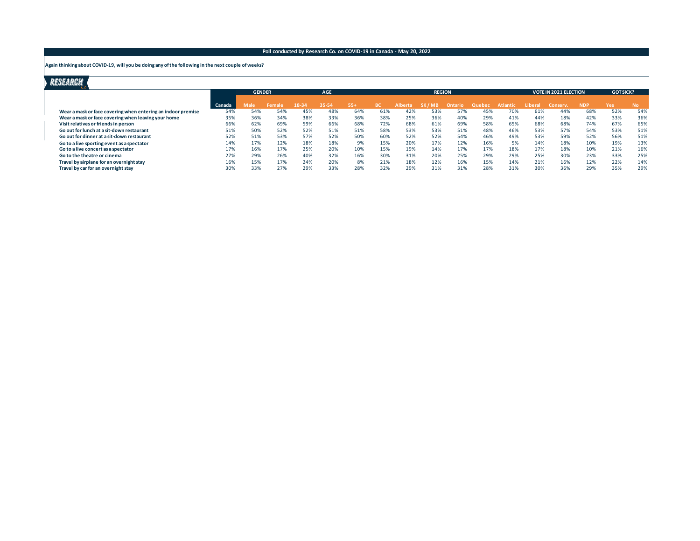**Again thinking about COVID-19, will you be doing any of the following in the next couple of weeks?**

|                                                              |        | <b>GENDER</b> |       | <b>AGE</b> |       |       |     |                | <b>REGION</b> |         |        |                 | <b>VOTE IN 2021 ELECTION</b> | <b>GOTSICK?</b> |            |     |     |
|--------------------------------------------------------------|--------|---------------|-------|------------|-------|-------|-----|----------------|---------------|---------|--------|-----------------|------------------------------|-----------------|------------|-----|-----|
|                                                              | Canada | Male          | Femal |            | 35-54 | $55+$ |     | <b>Alberta</b> | SK / MB       | Ontario | Quebec | <b>Atlantic</b> | Liberal                      | Conserv.        | <b>NDP</b> | Yes | No. |
| Wear a mask or face covering when entering an indoor premise | 54%    | 54%           | 54%   | 45%        | 48%   | 64%   | 61% | 42%            | 53%           | 57%     | 45%    | 70%             | 61%                          | 44%             | 68%        | 52% | 54% |
| Wear a mask or face covering when leaving your home          | 35%    | 36%           | 34%   | 38%        | 33%   | 36%   | 38% | 25%            | 36%           | 40%     | 29%    | 41%             | 44%                          | 18%             | 42%        | 33% | 36% |
| Visit relatives or friends in person                         | 66%    | 62%           | 69%   | 59%        | 66%   | 68%   | 72% | 68%            | 61%           | 69%     | 58%    | 65%             | 68%                          | 68%             | 74%        | 67% | 65% |
| Go out for lunch at a sit-down restaurant                    | 51%    | 50%           | 52%   | 52%        | 51%   | 51%   | 58% | 53%            | 53%           | 51%     | 48%    | 46%             | 53%                          | 57%             | 54%        | 53% | 51% |
| Go out for dinner at a sit-down restaurant                   | 52%    | 51%           | 53%   | 57%        | 52%   | 50%   | 60% | 52%            | 52%           | 54%     | 46%    | 49%             | 53%                          | 59%             | 52%        | 56% | 51% |
| Go to a live sporting event as a spectator                   | 14%    | 17%           | 12%   | 18%        | 18%   | 9%    | 15% | 20%            | 17%           | 12%     | 16%    | 5%              | 14%                          | 18%             | 10%        | 19% | 13% |
| Go to a live concert as a spectator                          | 17%    | 16%           | 17%   | 25%        | 20%   | 10%   | 15% | 19%            | 14%           | 17%     | 17%    | 18%             | 17%                          | 18%             | 10%        | 21% | 16% |
| Go to the theatre or cinema                                  | 27%    | 29%           | 26%   | 40%        | 32%   | 16%   | 30% | 31%            | 20%           | 25%     | 29%    | 29%             | 25%                          | 30%             | 23%        | 33% | 25% |
| Travel by airplane for an overnight stay                     | 16%    | 15%           | 17%   | 24%        | 20%   | 8%    | 21% | 18%            | 12%           | 16%     | 15%    | 14%             | 21%                          | 16%             | 12%        | 22% | 14% |
| Travel by car for an overnight stay                          | 30%    | 33%           | 27%   | 29%        | 33%   | 28%   | 32% | 29%            | 31%           | 31%     | 28%    | 31%             | 30%                          | 36%             | 29%        | 35% | 29% |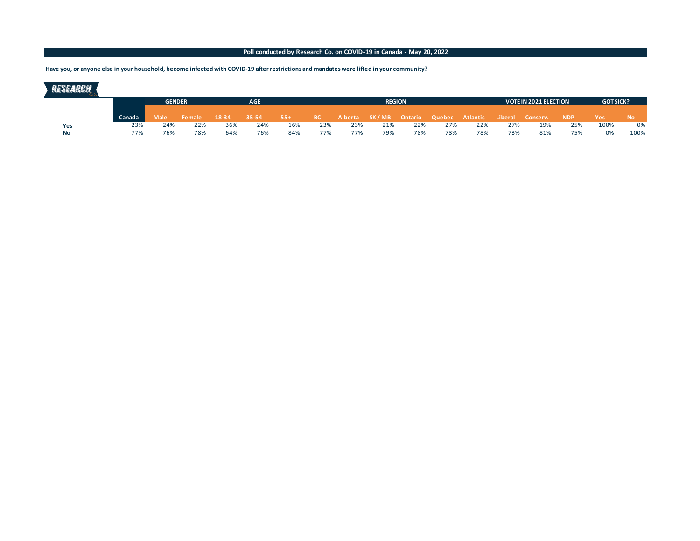**Have you, or anyone else in your household, become infected with COVID-19 after restrictions and mandates were lifted in your community?**

|           |        | <b>GENDER</b> |             |        | <b>AGE</b> |           |        |           |     | <b>REGION</b> |     |     |                                                        |     | <b>VOTE IN 2021 ELECTION</b> | <b>GOTSICK?</b> |            |           |
|-----------|--------|---------------|-------------|--------|------------|-----------|--------|-----------|-----|---------------|-----|-----|--------------------------------------------------------|-----|------------------------------|-----------------|------------|-----------|
|           | Canada |               | <b>Male</b> | Female | 18-34      | $35 - 54$ | $-55+$ | <b>BC</b> |     |               |     |     | Alberta SK/MB Ontario Quebec Atlantic Liberal Conserv. |     |                              | <b>NDP</b>      | <b>Yes</b> | <b>No</b> |
| Yes       |        | 23%           | 24%         | 22%    | 36%        | 24%       | 16%    | 23%       | 23% | 21%           | 22% | 27% | 22%                                                    | 27% | 19%                          | 25%             | 100%       | 0%        |
| <b>No</b> |        | 77%           | 76%         | 78%    | 64%        | 76%       | 84%    | 77%       | 77% | 79%           | 78% | 73% | 78%                                                    | 73% | 81%                          | 75%             | 0%         | 100%      |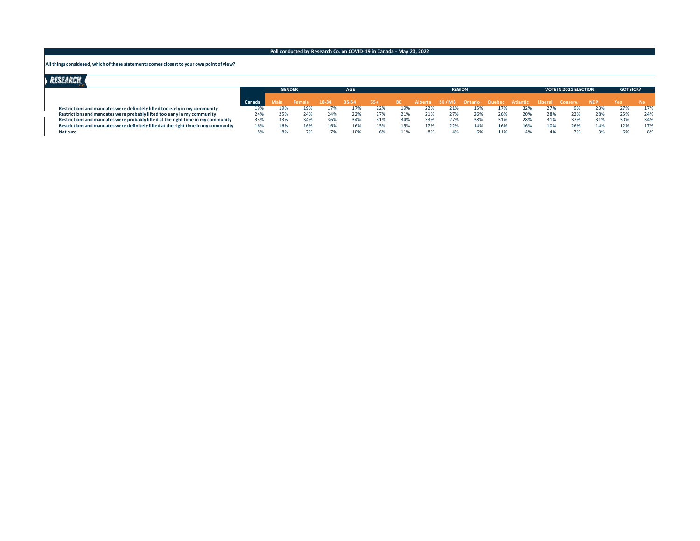#### **All things considered, which of these statements comes closest to your own point of view?**

|                                                                                    |        | <b>GENDER</b> |        |       | <b>AGE</b> |     |     |     | <b>REGION</b> |     |     |                                                        |     | <b>VOTE IN 2021 ELECTION</b> | <b>GOTSICK?</b> |     |     |
|------------------------------------------------------------------------------------|--------|---------------|--------|-------|------------|-----|-----|-----|---------------|-----|-----|--------------------------------------------------------|-----|------------------------------|-----------------|-----|-----|
|                                                                                    | Canada | Aale.         | Female | 18-34 | 35-54      | 55+ |     |     |               |     |     | Alberta SK/MB Ontario Quebec Atlantic Liberal Conserv. |     |                              | <b>NDP</b>      | Yes |     |
|                                                                                    |        |               |        |       |            |     |     |     |               |     |     |                                                        |     |                              |                 |     |     |
| Restrictions and mandates were definitely lifted too early in my community         | 19%    | 19%           | 19%    | 17%   |            | 22% |     | 22% | 21%           | 15% | 17% |                                                        |     |                              | 23%             |     | 17% |
| Restrictions and mandates were probably lifted too early in my community           | 24%    | 25%           | 24%    | 24%   |            | 27% |     | 21% | 27%           | 26% | 26% | 20%                                                    | 28% | 22%                          | 28%             | 25% | 24% |
| Restrictions and mandates were probably lifted at the right time in my community   | 33%    | 33%           | 34%    | 36%   | 34%        | 31% | 34% | 33% | 27%           | 38% | 31% | 28%                                                    | 31% |                              | 31%             |     | 34% |
| Restrictions and mandates were definitely lifted at the right time in my community |        | 16%           | 16%    | 16%   |            | 15% | 15% | 17% | 22%           | 14% | 16% | 16%                                                    | 10% | 26%                          | 14%             |     | 17% |
| Not sure                                                                           |        | 8%            |        |       |            |     | 11% | 8%  |               |     | 11% |                                                        |     |                              |                 |     | 8%  |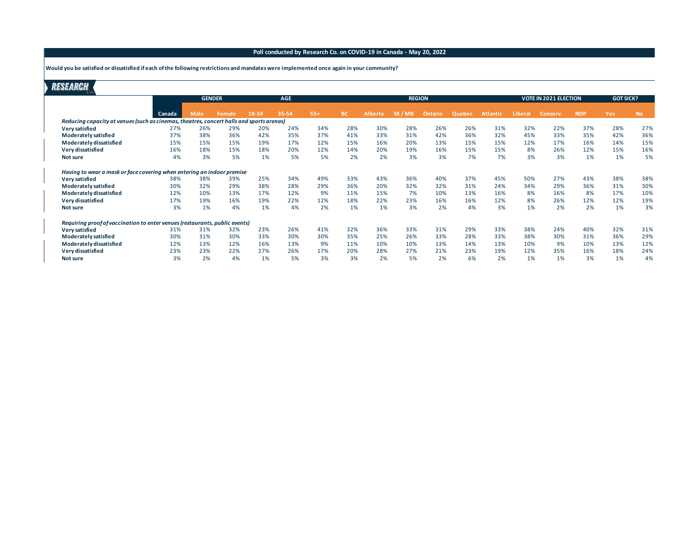**Would you be satisfied or dissatisfied if each of the following restrictions and mandates were implemented once again in your community?**

|                                                                                          |        | <b>GENDER</b><br><b>AGE</b> |               |       |       |       |           | <b>REGION</b>  |        |         |        |                 | <b>VOTE IN 2021 ELECTION</b> | <b>GOT SICK?</b> |            |            |           |
|------------------------------------------------------------------------------------------|--------|-----------------------------|---------------|-------|-------|-------|-----------|----------------|--------|---------|--------|-----------------|------------------------------|------------------|------------|------------|-----------|
|                                                                                          | Canada | Male                        | <b>Female</b> | 18-34 | 35-54 | $55+$ | <b>BC</b> | <b>Alberta</b> | SK/MB' | Ontario | Quebec | <b>Atlantic</b> | Liberal                      | Conserv.         | <b>NDP</b> | <b>Yes</b> | <b>No</b> |
| Reducing capacity at venues (such as cinemas, theatres, concert halls and sports arenas) |        |                             |               |       |       |       |           |                |        |         |        |                 |                              |                  |            |            |           |
| Very satisfied                                                                           | 27%    | 26%                         | 29%           | 20%   | 24%   | 34%   | 28%       | 30%            | 28%    | 26%     | 26%    | 31%             | 32%                          | 22%              | 37%        | 28%        | 27%       |
| Moderately satisfied                                                                     | 37%    | 38%                         | 36%           | 42%   | 35%   | 37%   | 41%       | 33%            | 31%    | 42%     | 36%    | 32%             | 45%                          | 33%              | 35%        | 42%        | 36%       |
| Moderately dissatisfied                                                                  | 15%    | 15%                         | 15%           | 19%   | 17%   | 12%   | 15%       | 16%            | 20%    | 13%     | 15%    | 15%             | 12%                          | 17%              | 16%        | 14%        | 15%       |
| Very dissatisfied                                                                        | 16%    | 18%                         | 15%           | 18%   | 20%   | 12%   | 14%       | 20%            | 19%    | 16%     | 15%    | 15%             | 8%                           | 26%              | 12%        | 15%        | 16%       |
| Not sure                                                                                 | 4%     | 3%                          | 5%            | 1%    | 5%    | 5%    | 2%        | 2%             | 3%     | 3%      | 7%     | 7%              | 3%                           | 3%               | 1%         | 1%         | 5%        |
| Having to wear a mask or face covering when entering an indoor premise                   |        |                             |               |       |       |       |           |                |        |         |        |                 |                              |                  |            |            |           |
| Very satisfied                                                                           | 38%    | 38%                         | 39%           | 25%   | 34%   | 49%   | 33%       | 43%            | 36%    | 40%     | 37%    | 45%             | 50%                          | 27%              | 43%        | 38%        | 38%       |
| Moderately satisfied                                                                     | 30%    | 32%                         | 29%           | 38%   | 28%   | 29%   | 36%       | 20%            | 32%    | 32%     | 31%    | 24%             | 34%                          | 29%              | 36%        | 31%        | 30%       |
| Moderately dissatisfied                                                                  | 12%    | 10%                         | 13%           | 17%   | 12%   | 9%    | 11%       | 15%            | 7%     | 10%     | 13%    | 16%             | 8%                           | 16%              | 8%         | 17%        | 10%       |
| Very dissatisfied                                                                        | 17%    | 19%                         | 16%           | 19%   | 22%   | 12%   | 18%       | 22%            | 23%    | 16%     | 16%    | 12%             | 8%                           | 26%              | 12%        | 12%        | 19%       |
| Not sure                                                                                 | 3%     | 1%                          | 4%            | 1%    | 4%    | 2%    | 1%        | 1%             | 3%     | 2%      | 4%     | 3%              | 1%                           | 2%               | 2%         | 1%         | 3%        |
| Requiring proof of vaccination to enter venues (restaurants, public events)              |        |                             |               |       |       |       |           |                |        |         |        |                 |                              |                  |            |            |           |
| Very satisfied                                                                           | 31%    | 31%                         | 32%           | 23%   | 26%   | 41%   | 32%       | 36%            | 33%    | 31%     | 29%    | 33%             | 38%                          | 24%              | 40%        | 32%        | 31%       |
| Moderately satisfied                                                                     | 30%    | 31%                         | 30%           | 33%   | 30%   | 30%   | 35%       | 25%            | 26%    | 33%     | 28%    | 33%             | 38%                          | 30%              | 31%        | 36%        | 29%       |
| Moderately dissatisfied                                                                  | 12%    | 13%                         | 12%           | 16%   | 13%   | 9%    | 11%       | 10%            | 10%    | 13%     | 14%    | 13%             | 10%                          | 9%               | 10%        | 13%        | 12%       |
| Very dissatisfied                                                                        | 23%    | 23%                         | 22%           | 27%   | 26%   | 17%   | 20%       | 28%            | 27%    | 21%     | 23%    | 19%             | 12%                          | 35%              | 16%        | 18%        | 24%       |
| Not sure                                                                                 | 3%     | 2%                          | 4%            | 1%    | 5%    | 3%    | 3%        | 2%             | 5%     | 2%      | 6%     | 2%              | 1%                           | 1%               | 3%         | 1%         | 4%        |